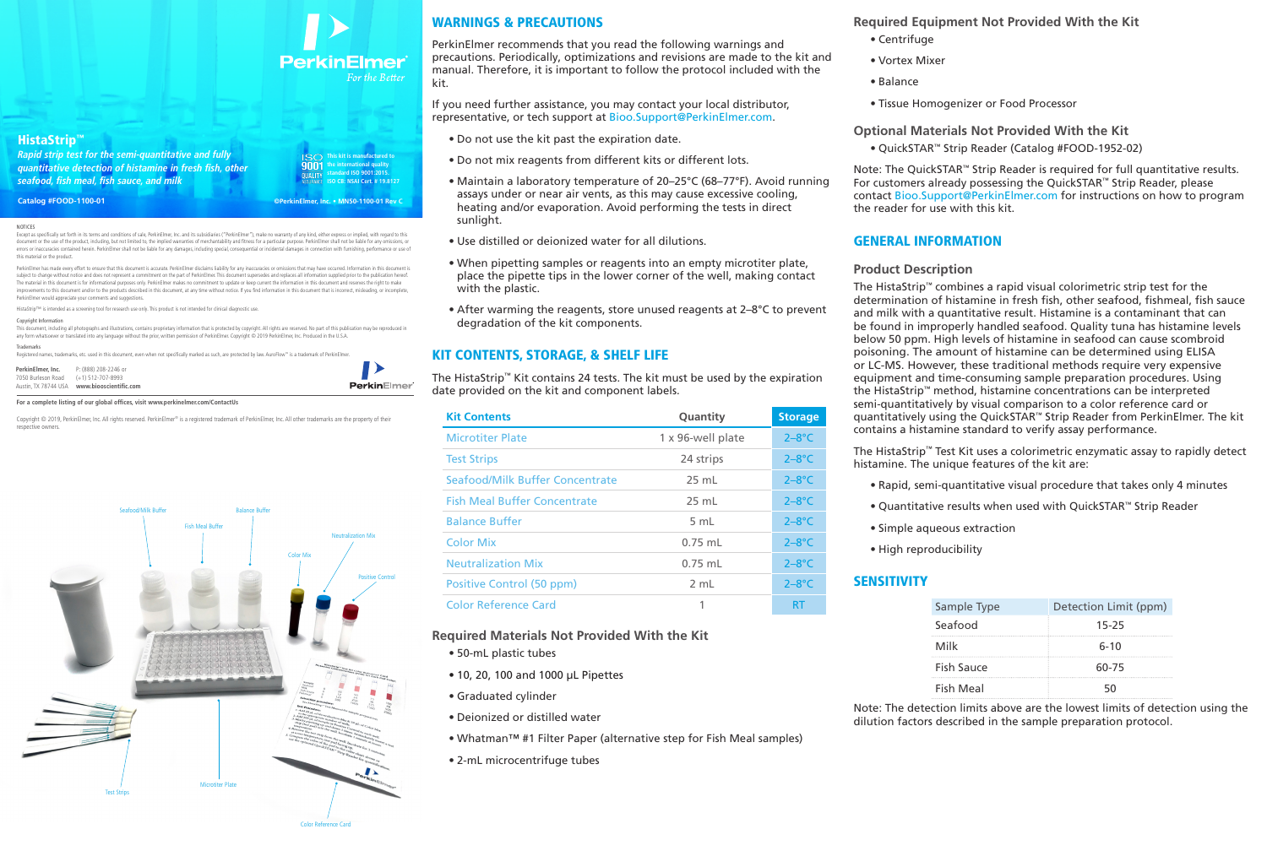**This kit is manufactured to** 

#### **NOTICES**

9001 **the international quality standard ISO 9001:2015. ISO CB: NSAI Cert. # 19.8127**

Except as specifically set forth in its terms and conditions of sale, PerkinElmer, Inc. and its subsidiaries ("PerkinElmer"), make no warranty of any kind, either express or implied, with regard to this document or the use of the product, including, but not limited to, the implied warranties of merchantability and fitness for a particular purpose. PerkinElmer shall not be liable for any o errors or inaccuracies contained herein. PerkinElmer shall not be liable for any damages, including special, consequential or incidental damages in connection with furnishing, performance or use o this material or the product.

PerkinElmer has made every effort to ensure that this document is accurate. PerkinElmer disclaims liability for any inaccuracies or omissions that may have occurred. Information in this document is subject to change without notice and does not represent a commitment on the part of PerkinElmer. This document supersedes and replaces all information supplied prior to the publication hereof. The material in this document is for informational purposes only. PerkinElmer makes no commitment to update or keep current the information in this document and reserves the right to make vements to this document and/or to the products described in this document, at any time without notice. If you find information in this document that is incorrect, misleading, or incomplet PerkinElmer would appreciate your comments and suggestions.

This document, including all photographs and illustrations, contains proprietary information that is protected by copyright. All rights are reserved. No part of this publication may be reproduced in any form whatsoever or translated into any language without the prior, written permission of PerkinElmer. Copyright © 2019 PerkinElmer, Inc. Produced in the U.S.A.

Copyright © 2019, PerkinElmer, Inc. All rights reserved. PerkinElmer® is a registered trademark of PerkinElmer, Inc. All other trademarks are the property of their respective owners.

HistaStrip™ is intended as a screening tool for research use only. This product is not intended for clinical diagnostic use.

#### Copyright Information

#### Trademarks

Registered names, trademarks, etc. used in this document, even when not specifically marked as such, are protected by law. AuroFlow™ is a trademark of PerkinElm

#### **For a complete listing of our global offices, visit www.perkinelmer.com/ContactUs**

| <b>PerkinElmer. Inc.</b> P: (888) 208-2246 or |                                                    |             |
|-----------------------------------------------|----------------------------------------------------|-------------|
| 7050 Burleson Road (+1) 512-707-8993          |                                                    |             |
|                                               | Austin. TX 78744 USA <b>www.biooscientific.com</b> | PerkinElmer |



**Required Equipment Not Provided With the Kit**

- Centrifuge
- Vortex Mixer
- Balance
- Tissue Homogenizer or Food Processor

**Optional Materials Not Provided With the Kit**

• QuickSTAR™ Strip Reader (Catalog #FOOD-1952-02)

Note: The QuickSTAR™ Strip Reader is required for full quantitative results. For customers already possessing the QuickSTAR™ Strip Reader, please contact Bioo.Support@PerkinElmer.com for instructions on how to program the reader for use with this kit.

# GENERAL INFORMATION

# **Product Description**

The HistaStrip™ combines a rapid visual colorimetric strip test for the determination of histamine in fresh fish, other seafood, fishmeal, fish sauce and milk with a quantitative result. Histamine is a contaminant that can be found in improperly handled seafood. Quality tuna has histamine levels below 50 ppm. High levels of histamine in seafood can cause scombroid poisoning. The amount of histamine can be determined using ELISA or LC-MS. However, these traditional methods require very expensive equipment and time-consuming sample preparation procedures. Using the HistaStrip™ method, histamine concentrations can be interpreted semi-quantitatively by visual comparison to a color reference card or quantitatively using the QuickSTAR™ Strip Reader from PerkinElmer. The kit contains a histamine standard to verify assay performance.

The HistaStrip™ Test Kit uses a colorimetric enzymatic assay to rapidly detect histamine. The unique features of the kit are:

- Rapid, semi-quantitative visual procedure that takes only 4 minutes
- Quantitative results when used with QuickSTAR™ Strip Reader
- Simple aqueous extraction
- High reproducibility

# **SENSITIVITY**

| Sample Type       | Detection Limit (ppm) |
|-------------------|-----------------------|
| Seafood           | $15 - 25$             |
| Milk              | $6 - 10$              |
| <b>Fish Sauce</b> | 60-75                 |
| <b>Fish Meal</b>  | 50                    |

Note: The detection limits above are the lowest limits of detection using the dilution factors described in the sample preparation protocol.

# WARNINGS & PRECAUTIONS

PerkinElmer recommends that you read the following warnings and precautions. Periodically, optimizations and revisions are made to the kit and manual. Therefore, it is important to follow the protocol included with the kit.

If you need further assistance, you may contact your local distributor, representative, or tech support at Bioo.Support@PerkinElmer.com.

- Do not use the kit past the expiration date.
- Do not mix reagents from different kits or different lots.
- Maintain a laboratory temperature of 20–25°C (68–77°F). Avoid running assays under or near air vents, as this may cause excessive cooling, heating and/or evaporation. Avoid performing the tests in direct sunlight.
- Use distilled or deionized water for all dilutions.
- When pipetting samples or reagents into an empty microtiter plate, place the pipette tips in the lower corner of the well, making contact with the plastic.
- After warming the reagents, store unused reagents at 2–8°C to prevent degradation of the kit components.

#### KIT CONTENTS, STORAGE, & SHELF LIFE

The HistaStrip™ Kit contains 24 tests. The kit must be used by the expiration date provided on the kit and component labels.

| <b>Kit Contents</b>                    | Quantity          | <b>Storage</b> |
|----------------------------------------|-------------------|----------------|
| <b>Microtiter Plate</b>                | 1 x 96-well plate | $2 - 8$ °C     |
| <b>Test Strips</b>                     | 24 strips         | $2 - 8$ °C     |
| <b>Seafood/Milk Buffer Concentrate</b> | $25$ mL           | $2-8$ °C       |
| <b>Fish Meal Buffer Concentrate</b>    | 25 mL             | $2-8$ °C       |
| <b>Balance Buffer</b>                  | 5 mL              | $2-8$ °C       |
| <b>Color Mix</b>                       | $0.75$ mL         | $2-8$ °C       |
| <b>Neutralization Mix</b>              | $0.75$ mL         | $2-8$ °C       |
| Positive Control (50 ppm)              | 2 mL              | $2-8$ °C       |
| <b>Color Reference Card</b>            |                   | RT             |

#### **Required Materials Not Provided With the Kit**

- 50-mL plastic tubes
- 10, 20, 100 and 1000 µL Pipettes
- Graduated cylinder
- Deionized or distilled water
- Whatman™ #1 Filter Paper (alternative step for Fish Meal samples)
- 2-mL microcentrifuge tubes

**©PerkinElmer, Inc. • MN50-1100-01 Rev C**

# **PerkinElmer** For the Better

#### HistaStrip™

*Rapid strip test for the semi-quantitative and fully quantitative detection of histamine in fresh fish, other seafood, fish meal, fish sauce, and milk*

**Catalog #FOOD-1100-01**